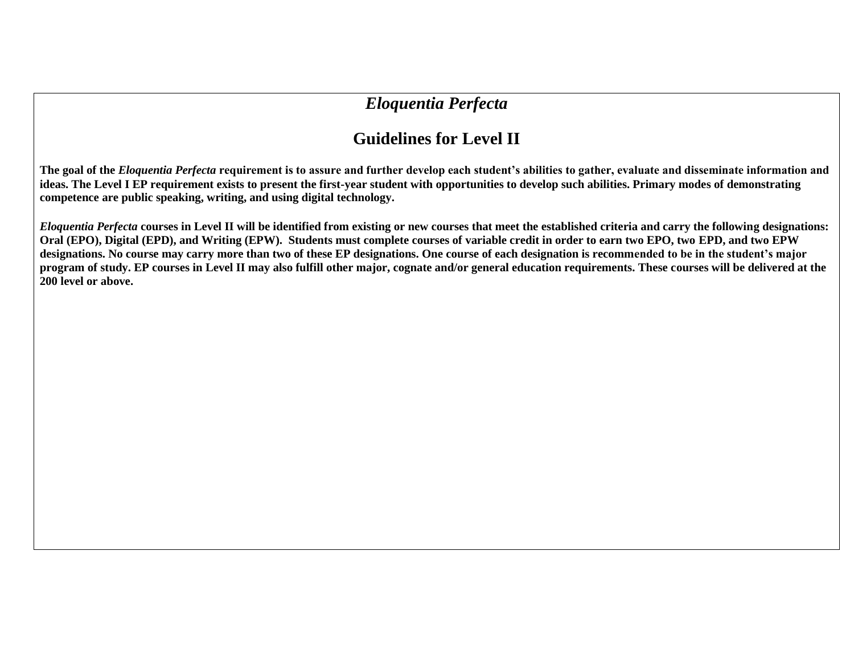## *Eloquentia Perfecta*

## **Guidelines for Level II**

**The goal of the** *Eloquentia Perfecta* **requirement is to assure and further develop each student's abilities to gather, evaluate and disseminate information and ideas. The Level I EP requirement exists to present the first-year student with opportunities to develop such abilities. Primary modes of demonstrating competence are public speaking, writing, and using digital technology.**

*Eloquentia Perfecta* **courses in Level II will be identified from existing or new courses that meet the established criteria and carry the following designations: Oral (EPO), Digital (EPD), and Writing (EPW). Students must complete courses of variable credit in order to earn two EPO, two EPD, and two EPW designations. No course may carry more than two of these EP designations. One course of each designation is recommended to be in the student's major program of study. EP courses in Level II may also fulfill other major, cognate and/or general education requirements. These courses will be delivered at the 200 level or above.**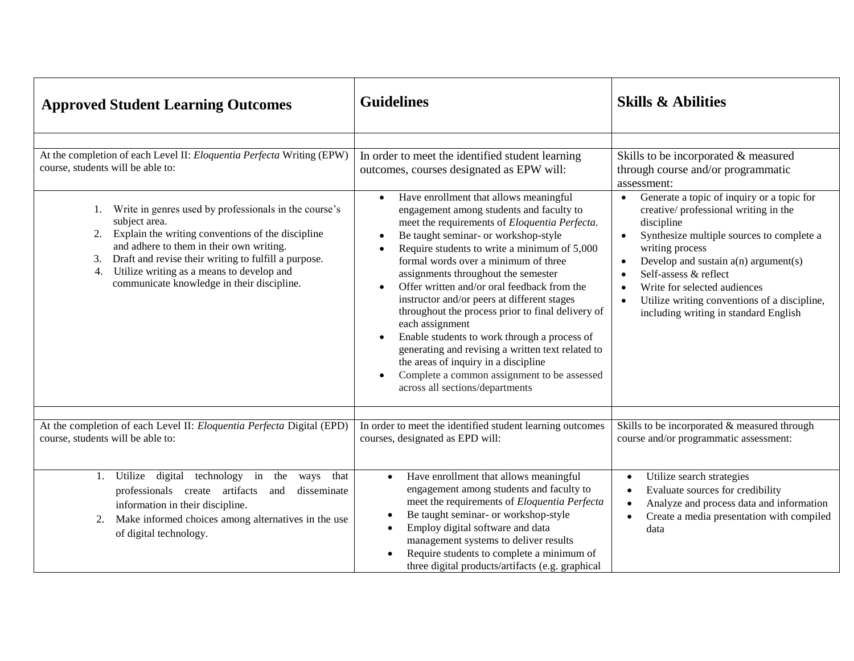| <b>Approved Student Learning Outcomes</b>                                                                                                                                                                                                                                                                                                    | <b>Guidelines</b>                                                                                                                                                                                                                                                                                                                                                                                                                                                                                                                                                                                                                                                                                                            | <b>Skills &amp; Abilities</b>                                                                                                                                                                                                                                                                                                                                                                                                              |
|----------------------------------------------------------------------------------------------------------------------------------------------------------------------------------------------------------------------------------------------------------------------------------------------------------------------------------------------|------------------------------------------------------------------------------------------------------------------------------------------------------------------------------------------------------------------------------------------------------------------------------------------------------------------------------------------------------------------------------------------------------------------------------------------------------------------------------------------------------------------------------------------------------------------------------------------------------------------------------------------------------------------------------------------------------------------------------|--------------------------------------------------------------------------------------------------------------------------------------------------------------------------------------------------------------------------------------------------------------------------------------------------------------------------------------------------------------------------------------------------------------------------------------------|
|                                                                                                                                                                                                                                                                                                                                              |                                                                                                                                                                                                                                                                                                                                                                                                                                                                                                                                                                                                                                                                                                                              |                                                                                                                                                                                                                                                                                                                                                                                                                                            |
| At the completion of each Level II: Eloquentia Perfecta Writing (EPW)<br>course, students will be able to:                                                                                                                                                                                                                                   | In order to meet the identified student learning<br>outcomes, courses designated as EPW will:                                                                                                                                                                                                                                                                                                                                                                                                                                                                                                                                                                                                                                | Skills to be incorporated & measured<br>through course and/or programmatic<br>assessment:                                                                                                                                                                                                                                                                                                                                                  |
| Write in genres used by professionals in the course's<br>subject area.<br>Explain the writing conventions of the discipline<br>2.<br>and adhere to them in their own writing.<br>Draft and revise their writing to fulfill a purpose.<br>3.<br>Utilize writing as a means to develop and<br>4.<br>communicate knowledge in their discipline. | Have enrollment that allows meaningful<br>engagement among students and faculty to<br>meet the requirements of Eloquentia Perfecta.<br>Be taught seminar- or workshop-style<br>Require students to write a minimum of 5,000<br>formal words over a minimum of three<br>assignments throughout the semester<br>Offer written and/or oral feedback from the<br>$\bullet$<br>instructor and/or peers at different stages<br>throughout the process prior to final delivery of<br>each assignment<br>Enable students to work through a process of<br>generating and revising a written text related to<br>the areas of inquiry in a discipline<br>Complete a common assignment to be assessed<br>across all sections/departments | Generate a topic of inquiry or a topic for<br>$\bullet$<br>creative/professional writing in the<br>discipline<br>Synthesize multiple sources to complete a<br>$\bullet$<br>writing process<br>Develop and sustain $a(n)$ argument(s)<br>$\bullet$<br>Self-assess & reflect<br>$\bullet$<br>Write for selected audiences<br>$\bullet$<br>Utilize writing conventions of a discipline,<br>$\bullet$<br>including writing in standard English |
| At the completion of each Level II: Eloquentia Perfecta Digital (EPD)<br>course, students will be able to:                                                                                                                                                                                                                                   | In order to meet the identified student learning outcomes<br>courses, designated as EPD will:                                                                                                                                                                                                                                                                                                                                                                                                                                                                                                                                                                                                                                | Skills to be incorporated & measured through<br>course and/or programmatic assessment:                                                                                                                                                                                                                                                                                                                                                     |
| Utilize<br>digital<br>technology in the<br>that<br>1.<br>ways<br>professionals create artifacts<br>disseminate<br>and<br>information in their discipline.<br>Make informed choices among alternatives in the use<br>2.<br>of digital technology.                                                                                             | Have enrollment that allows meaningful<br>$\bullet$<br>engagement among students and faculty to<br>meet the requirements of Eloquentia Perfecta<br>Be taught seminar- or workshop-style<br>Employ digital software and data<br>management systems to deliver results<br>Require students to complete a minimum of<br>three digital products/artifacts (e.g. graphical                                                                                                                                                                                                                                                                                                                                                        | Utilize search strategies<br>Evaluate sources for credibility<br>Analyze and process data and information<br>Create a media presentation with compiled<br>data                                                                                                                                                                                                                                                                             |